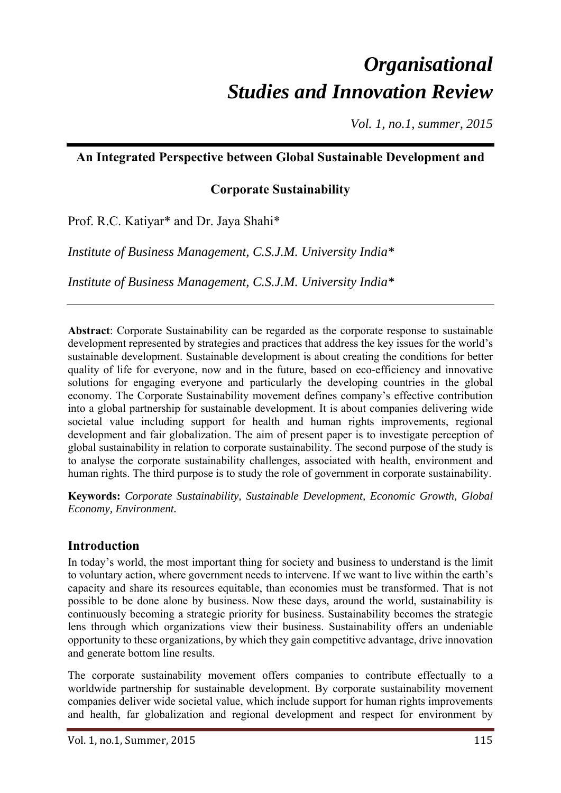# *Organisational Studies and Innovation Review*

*Vol. 1, no.1, summer, 2015* 

## **An Integrated Perspective between Global Sustainable Development and**

## **Corporate Sustainability**

Prof. R.C. Katiyar\* and Dr. Jaya Shahi\*

*Institute of Business Management, C.S.J.M. University India\** 

*Institute of Business Management, C.S.J.M. University India\** 

**Abstract**: Corporate Sustainability can be regarded as the corporate response to sustainable development represented by strategies and practices that address the key issues for the world's sustainable development. Sustainable development is about creating the conditions for better quality of life for everyone, now and in the future, based on eco-efficiency and innovative solutions for engaging everyone and particularly the developing countries in the global economy. The Corporate Sustainability movement defines company's effective contribution into a global partnership for sustainable development. It is about companies delivering wide societal value including support for health and human rights improvements, regional development and fair globalization. The aim of present paper is to investigate perception of global sustainability in relation to corporate sustainability. The second purpose of the study is to analyse the corporate sustainability challenges, associated with health, environment and human rights. The third purpose is to study the role of government in corporate sustainability.

**Keywords:** *Corporate Sustainability, Sustainable Development, Economic Growth, Global Economy, Environment.* 

## **Introduction**

In today's world, the most important thing for society and business to understand is the limit to voluntary action, where government needs to intervene. If we want to live within the earth's capacity and share its resources equitable, than economies must be transformed. That is not possible to be done alone by business. Now these days, around the world, sustainability is continuously becoming a strategic priority for business. Sustainability becomes the strategic lens through which organizations view their business. Sustainability offers an undeniable opportunity to these organizations, by which they gain competitive advantage, drive innovation and generate bottom line results.

The corporate sustainability movement offers companies to contribute effectually to a worldwide partnership for sustainable development. By corporate sustainability movement companies deliver wide societal value, which include support for human rights improvements and health, far globalization and regional development and respect for environment by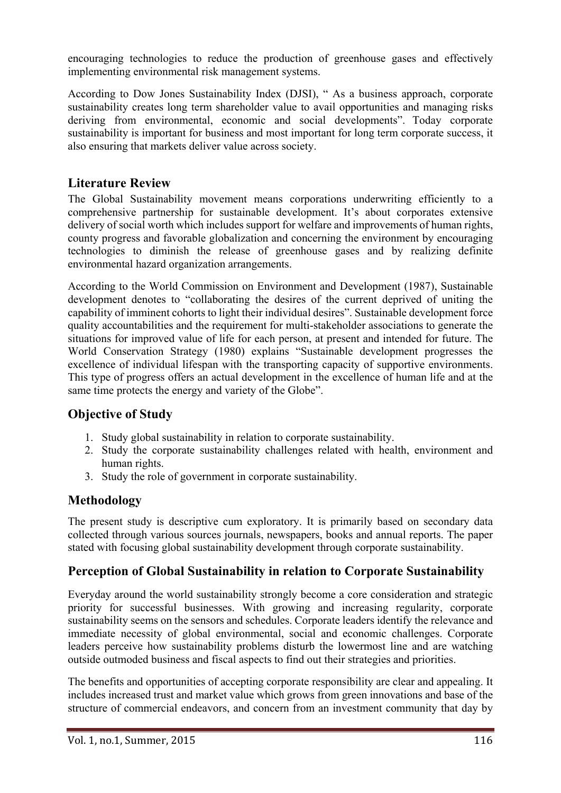encouraging technologies to reduce the production of greenhouse gases and effectively implementing environmental risk management systems.

According to Dow Jones Sustainability Index (DJSI), " As a business approach, corporate sustainability creates long term shareholder value to avail opportunities and managing risks deriving from environmental, economic and social developments". Today corporate sustainability is important for business and most important for long term corporate success, it also ensuring that markets deliver value across society.

## **Literature Review**

The Global Sustainability movement means corporations underwriting efficiently to a comprehensive partnership for sustainable development. It's about corporates extensive delivery of social worth which includes support for welfare and improvements of human rights, county progress and favorable globalization and concerning the environment by encouraging technologies to diminish the release of greenhouse gases and by realizing definite environmental hazard organization arrangements.

According to the World Commission on Environment and Development (1987), Sustainable development denotes to "collaborating the desires of the current deprived of uniting the capability of imminent cohorts to light their individual desires". Sustainable development force quality accountabilities and the requirement for multi-stakeholder associations to generate the situations for improved value of life for each person, at present and intended for future. The World Conservation Strategy (1980) explains "Sustainable development progresses the excellence of individual lifespan with the transporting capacity of supportive environments. This type of progress offers an actual development in the excellence of human life and at the same time protects the energy and variety of the Globe".

## **Objective of Study**

- 1. Study global sustainability in relation to corporate sustainability.
- 2. Study the corporate sustainability challenges related with health, environment and human rights.
- 3. Study the role of government in corporate sustainability.

## **Methodology**

The present study is descriptive cum exploratory. It is primarily based on secondary data collected through various sources journals, newspapers, books and annual reports. The paper stated with focusing global sustainability development through corporate sustainability.

# **Perception of Global Sustainability in relation to Corporate Sustainability**

Everyday around the world sustainability strongly become a core consideration and strategic priority for successful businesses. With growing and increasing regularity, corporate sustainability seems on the sensors and schedules. Corporate leaders identify the relevance and immediate necessity of global environmental, social and economic challenges. Corporate leaders perceive how sustainability problems disturb the lowermost line and are watching outside outmoded business and fiscal aspects to find out their strategies and priorities.

The benefits and opportunities of accepting corporate responsibility are clear and appealing. It includes increased trust and market value which grows from green innovations and base of the structure of commercial endeavors, and concern from an investment community that day by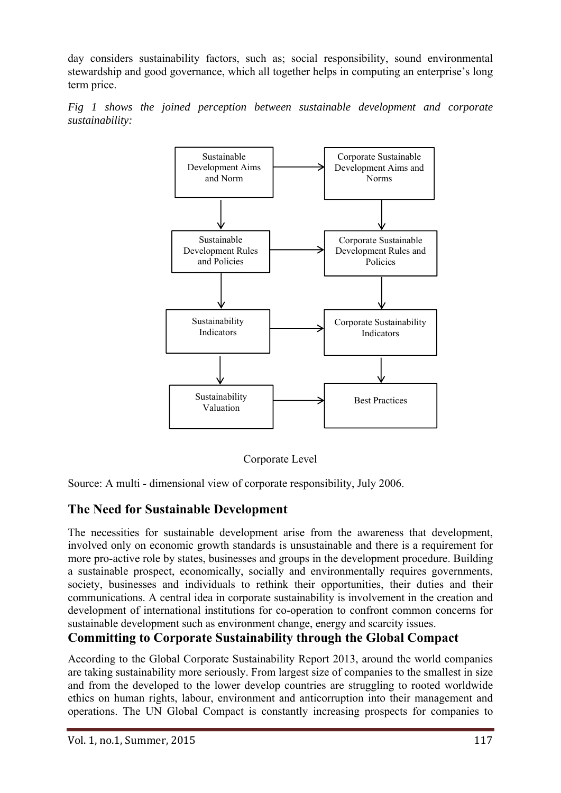day considers sustainability factors, such as; social responsibility, sound environmental stewardship and good governance, which all together helps in computing an enterprise's long term price.





Corporate Level

Source: A multi - dimensional view of corporate responsibility, July 2006.

## **The Need for Sustainable Development**

The necessities for sustainable development arise from the awareness that development, involved only on economic growth standards is unsustainable and there is a requirement for more pro-active role by states, businesses and groups in the development procedure. Building a sustainable prospect, economically, socially and environmentally requires governments, society, businesses and individuals to rethink their opportunities, their duties and their communications. A central idea in corporate sustainability is involvement in the creation and development of international institutions for co-operation to confront common concerns for sustainable development such as environment change, energy and scarcity issues.

# **Committing to Corporate Sustainability through the Global Compact**

According to the Global Corporate Sustainability Report 2013, around the world companies are taking sustainability more seriously. From largest size of companies to the smallest in size and from the developed to the lower develop countries are struggling to rooted worldwide ethics on human rights, labour, environment and anticorruption into their management and operations. The UN Global Compact is constantly increasing prospects for companies to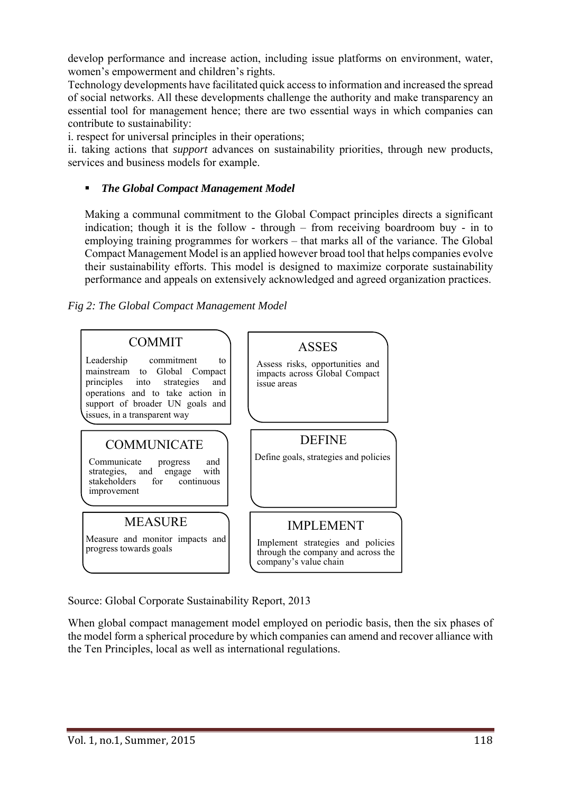develop performance and increase action, including issue platforms on environment, water, women's empowerment and children's rights.

Technology developments have facilitated quick access to information and increased the spread of social networks. All these developments challenge the authority and make transparency an essential tool for management hence; there are two essential ways in which companies can contribute to sustainability:

i. respect for universal principles in their operations;

ii. taking actions that *support* advances on sustainability priorities, through new products, services and business models for example.

#### *The Global Compact Management Model*

Making a communal commitment to the Global Compact principles directs a significant indication; though it is the follow - through – from receiving boardroom buy - in to employing training programmes for workers – that marks all of the variance. The Global Compact Management Model is an applied however broad tool that helps companies evolve their sustainability efforts. This model is designed to maximize corporate sustainability performance and appeals on extensively acknowledged and agreed organization practices.

*Fig 2: The Global Compact Management Model* 



Source: Global Corporate Sustainability Report, 2013

When global compact management model employed on periodic basis, then the six phases of the model form a spherical procedure by which companies can amend and recover alliance with the Ten Principles, local as well as international regulations.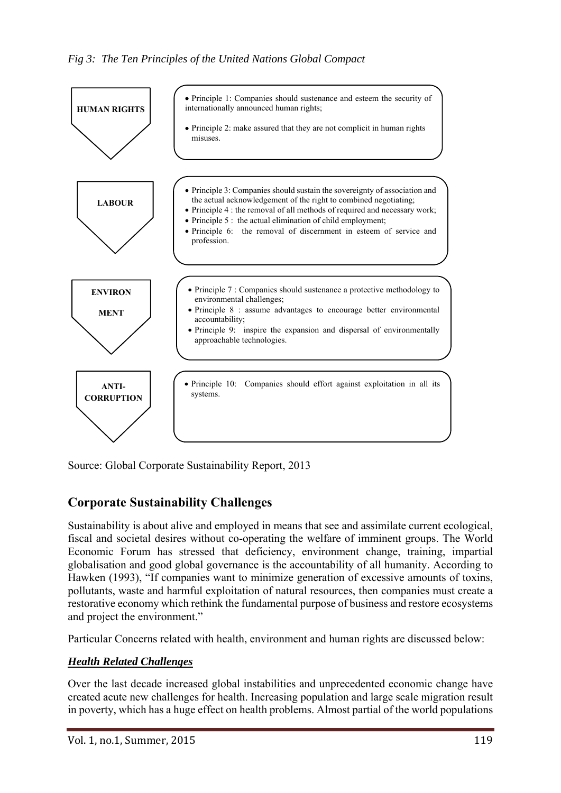

Source: Global Corporate Sustainability Report, 2013

# **Corporate Sustainability Challenges**

Sustainability is about alive and employed in means that see and assimilate current ecological, fiscal and societal desires without co-operating the welfare of imminent groups. The World Economic Forum has stressed that deficiency, environment change, training, impartial globalisation and good global governance is the accountability of all humanity. According to Hawken (1993), "If companies want to minimize generation of excessive amounts of toxins, pollutants, waste and harmful exploitation of natural resources, then companies must create a restorative economy which rethink the fundamental purpose of business and restore ecosystems and project the environment."

Particular Concerns related with health, environment and human rights are discussed below:

## *Health Related Challenges*

Over the last decade increased global instabilities and unprecedented economic change have created acute new challenges for health. Increasing population and large scale migration result in poverty, which has a huge effect on health problems. Almost partial of the world populations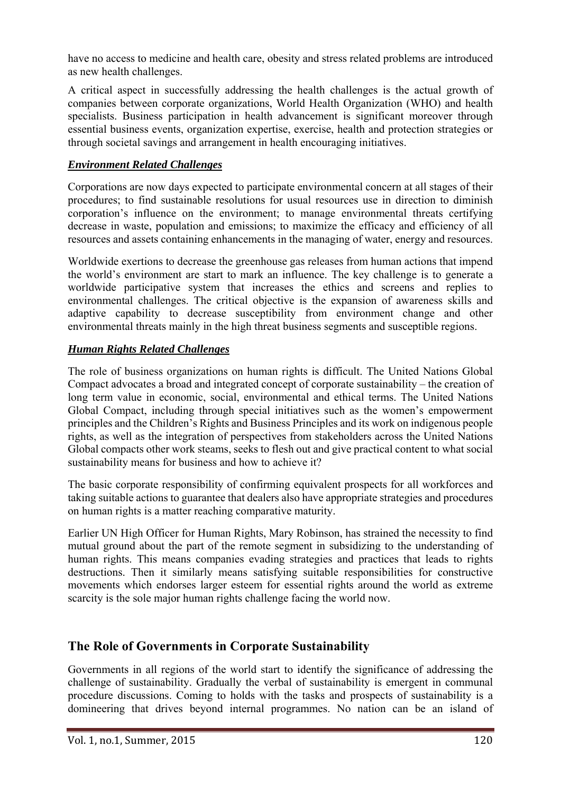have no access to medicine and health care, obesity and stress related problems are introduced as new health challenges.

A critical aspect in successfully addressing the health challenges is the actual growth of companies between corporate organizations, World Health Organization (WHO) and health specialists. Business participation in health advancement is significant moreover through essential business events, organization expertise, exercise, health and protection strategies or through societal savings and arrangement in health encouraging initiatives.

#### *Environment Related Challenges*

Corporations are now days expected to participate environmental concern at all stages of their procedures; to find sustainable resolutions for usual resources use in direction to diminish corporation's influence on the environment; to manage environmental threats certifying decrease in waste, population and emissions; to maximize the efficacy and efficiency of all resources and assets containing enhancements in the managing of water, energy and resources.

Worldwide exertions to decrease the greenhouse gas releases from human actions that impend the world's environment are start to mark an influence. The key challenge is to generate a worldwide participative system that increases the ethics and screens and replies to environmental challenges. The critical objective is the expansion of awareness skills and adaptive capability to decrease susceptibility from environment change and other environmental threats mainly in the high threat business segments and susceptible regions.

#### *Human Rights Related Challenges*

The role of business organizations on human rights is difficult. The United Nations Global Compact advocates a broad and integrated concept of corporate sustainability – the creation of long term value in economic, social, environmental and ethical terms. The United Nations Global Compact, including through special initiatives such as the women's empowerment principles and the Children's Rights and Business Principles and its work on indigenous people rights, as well as the integration of perspectives from stakeholders across the United Nations Global compacts other work steams, seeks to flesh out and give practical content to what social sustainability means for business and how to achieve it?

The basic corporate responsibility of confirming equivalent prospects for all workforces and taking suitable actions to guarantee that dealers also have appropriate strategies and procedures on human rights is a matter reaching comparative maturity.

Earlier UN High Officer for Human Rights, Mary Robinson, has strained the necessity to find mutual ground about the part of the remote segment in subsidizing to the understanding of human rights. This means companies evading strategies and practices that leads to rights destructions. Then it similarly means satisfying suitable responsibilities for constructive movements which endorses larger esteem for essential rights around the world as extreme scarcity is the sole major human rights challenge facing the world now.

## **The Role of Governments in Corporate Sustainability**

Governments in all regions of the world start to identify the significance of addressing the challenge of sustainability. Gradually the verbal of sustainability is emergent in communal procedure discussions. Coming to holds with the tasks and prospects of sustainability is a domineering that drives beyond internal programmes. No nation can be an island of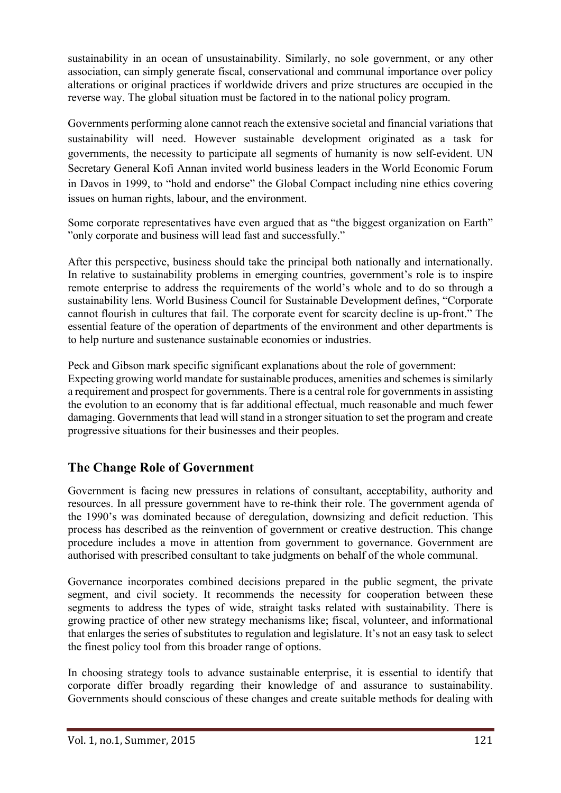sustainability in an ocean of unsustainability. Similarly, no sole government, or any other association, can simply generate fiscal, conservational and communal importance over policy alterations or original practices if worldwide drivers and prize structures are occupied in the reverse way. The global situation must be factored in to the national policy program.

Governments performing alone cannot reach the extensive societal and financial variations that sustainability will need. However sustainable development originated as a task for governments, the necessity to participate all segments of humanity is now self-evident. UN Secretary General Kofi Annan invited world business leaders in the World Economic Forum in Davos in 1999, to "hold and endorse" the Global Compact including nine ethics covering issues on human rights, labour, and the environment.

Some corporate representatives have even argued that as "the biggest organization on Earth" "only corporate and business will lead fast and successfully."

After this perspective, business should take the principal both nationally and internationally. In relative to sustainability problems in emerging countries, government's role is to inspire remote enterprise to address the requirements of the world's whole and to do so through a sustainability lens. World Business Council for Sustainable Development defines, "Corporate cannot flourish in cultures that fail. The corporate event for scarcity decline is up-front." The essential feature of the operation of departments of the environment and other departments is to help nurture and sustenance sustainable economies or industries.

Peck and Gibson mark specific significant explanations about the role of government: Expecting growing world mandate for sustainable produces, amenities and schemes is similarly a requirement and prospect for governments. There is a central role for governments in assisting the evolution to an economy that is far additional effectual, much reasonable and much fewer damaging. Governments that lead will stand in a stronger situation to set the program and create progressive situations for their businesses and their peoples.

# **The Change Role of Government**

Government is facing new pressures in relations of consultant, acceptability, authority and resources. In all pressure government have to re-think their role. The government agenda of the 1990's was dominated because of deregulation, downsizing and deficit reduction. This process has described as the reinvention of government or creative destruction. This change procedure includes a move in attention from government to governance. Government are authorised with prescribed consultant to take judgments on behalf of the whole communal.

Governance incorporates combined decisions prepared in the public segment, the private segment, and civil society. It recommends the necessity for cooperation between these segments to address the types of wide, straight tasks related with sustainability. There is growing practice of other new strategy mechanisms like; fiscal, volunteer, and informational that enlarges the series of substitutes to regulation and legislature. It's not an easy task to select the finest policy tool from this broader range of options.

In choosing strategy tools to advance sustainable enterprise, it is essential to identify that corporate differ broadly regarding their knowledge of and assurance to sustainability. Governments should conscious of these changes and create suitable methods for dealing with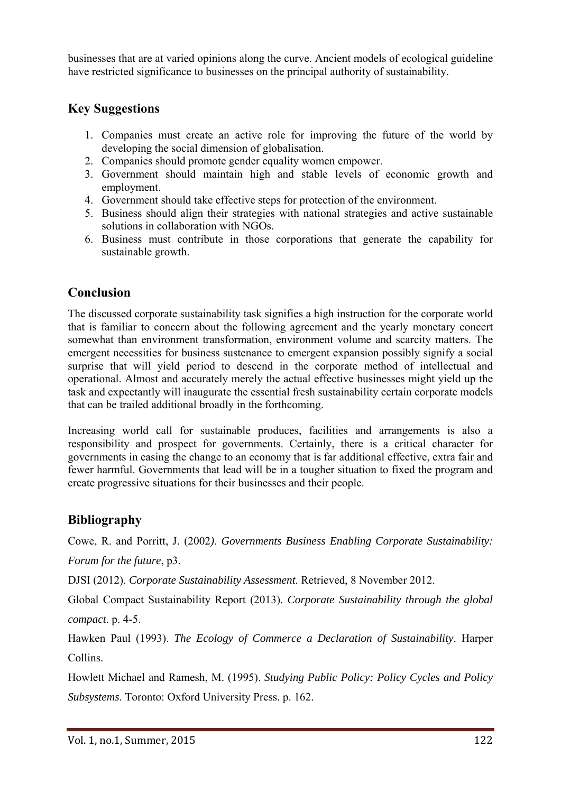businesses that are at varied opinions along the curve. Ancient models of ecological guideline have restricted significance to businesses on the principal authority of sustainability.

# **Key Suggestions**

- 1. Companies must create an active role for improving the future of the world by developing the social dimension of globalisation.
- 2. Companies should promote gender equality women empower.
- 3. Government should maintain high and stable levels of economic growth and employment.
- 4. Government should take effective steps for protection of the environment.
- 5. Business should align their strategies with national strategies and active sustainable solutions in collaboration with NGOs.
- 6. Business must contribute in those corporations that generate the capability for sustainable growth.

# **Conclusion**

The discussed corporate sustainability task signifies a high instruction for the corporate world that is familiar to concern about the following agreement and the yearly monetary concert somewhat than environment transformation, environment volume and scarcity matters. The emergent necessities for business sustenance to emergent expansion possibly signify a social surprise that will yield period to descend in the corporate method of intellectual and operational. Almost and accurately merely the actual effective businesses might yield up the task and expectantly will inaugurate the essential fresh sustainability certain corporate models that can be trailed additional broadly in the forthcoming.

Increasing world call for sustainable produces, facilities and arrangements is also a responsibility and prospect for governments. Certainly, there is a critical character for governments in easing the change to an economy that is far additional effective, extra fair and fewer harmful. Governments that lead will be in a tougher situation to fixed the program and create progressive situations for their businesses and their people.

## **Bibliography**

Cowe, R. and Porritt, J. (2002*)*. *Governments Business Enabling Corporate Sustainability: Forum for the future*, p3.

DJSI (2012). *Corporate Sustainability Assessment*. Retrieved, 8 November 2012.

Global Compact Sustainability Report (2013). *Corporate Sustainability through the global compact*. p. 4-5.

Hawken Paul (1993). *The Ecology of Commerce a Declaration of Sustainability*. Harper Collins.

Howlett Michael and Ramesh, M. (1995). *Studying Public Policy: Policy Cycles and Policy Subsystems*. Toronto: Oxford University Press. p. 162.